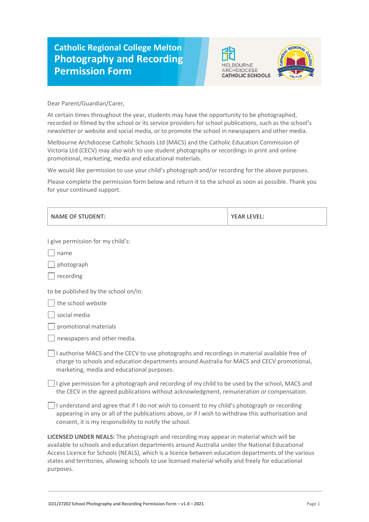## **Catholic Regional College Melton Photography and Recording Permission Form**





Dear Parent/Guardian/Carer,

At certain times throughout the year, students may have the opportunity to be photographed, recorded or filmed by the school or its service providers for school publications, such as the school's newsletter or website and social media, or to promote the school in newspapers and other media.

Melbourne Archdiocese Catholic Schools Ltd (MACS) and the Catholic Education Commission of Victoria Ltd (CECV) may also wish to use student photographs or recordings in print and online promotional, marketing, media and educational materials.

We would like permission to use your child's photograph and/or recording for the above purposes.

Please complete the permission form below and return it to the school as soon as possible. Thank you for your continued support.

| <b>NAME OF STUDENT:</b>                                                                                                                                                                                                                                                                                                                                                                                 | <b>YEAR LEVEL:</b> |  |
|---------------------------------------------------------------------------------------------------------------------------------------------------------------------------------------------------------------------------------------------------------------------------------------------------------------------------------------------------------------------------------------------------------|--------------------|--|
| I give permission for my child's:                                                                                                                                                                                                                                                                                                                                                                       |                    |  |
| name                                                                                                                                                                                                                                                                                                                                                                                                    |                    |  |
| photograph                                                                                                                                                                                                                                                                                                                                                                                              |                    |  |
| recording                                                                                                                                                                                                                                                                                                                                                                                               |                    |  |
| to be published by the school on/in:                                                                                                                                                                                                                                                                                                                                                                    |                    |  |
| the school website                                                                                                                                                                                                                                                                                                                                                                                      |                    |  |
| social media                                                                                                                                                                                                                                                                                                                                                                                            |                    |  |
| promotional materials                                                                                                                                                                                                                                                                                                                                                                                   |                    |  |
| newspapers and other media.                                                                                                                                                                                                                                                                                                                                                                             |                    |  |
| I authorise MACS and the CECV to use photographs and recordings in material available free of<br>charge to schools and education departments around Australia for MACS and CECV promotional,<br>marketing, media and educational purposes.                                                                                                                                                              |                    |  |
| I give permission for a photograph and recording of my child to be used by the school, MACS and<br>the CECV in the agreed publications without acknowledgment, remuneration or compensation.                                                                                                                                                                                                            |                    |  |
| I understand and agree that if I do not wish to consent to my child's photograph or recording<br>appearing in any or all of the publications above, or if I wish to withdraw this authorisation and<br>consent, it is my responsibility to notify the school.                                                                                                                                           |                    |  |
| LICENSED UNDER NEALS: The photograph and recording may appear in material which will be<br>available to schools and education departments around Australia under the National Educational<br>Access Licence for Schools (NEALS), which is a licence between education departments of the various<br>states and territories, allowing schools to use licensed material wholly and freely for educational |                    |  |

purposes.